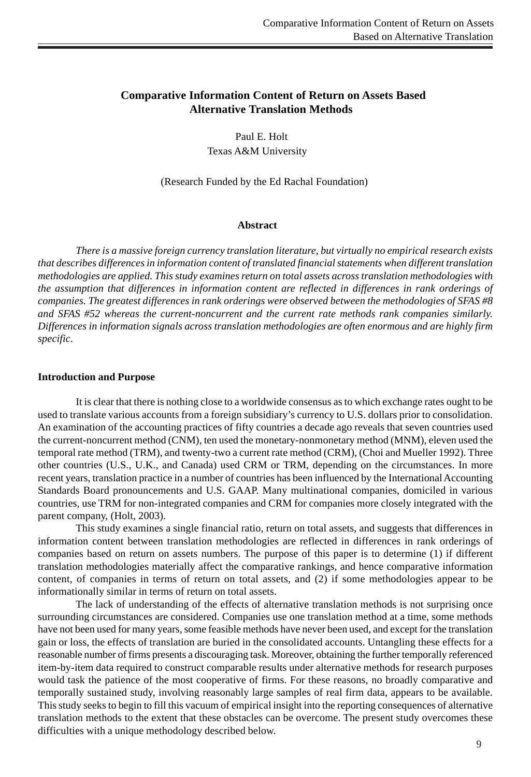# **Comparative Information Content of Return on Assets Based Alternative Translation Methods**

 Paul E. Holt Texas A&M University

(Research Funded by the Ed Rachal Foundation)

#### **Abstract**

*There is a massive foreign currency translation literature, but virtually no empirical research exists that describes differences in information content of translated financial statements when different translation methodologies are applied. This study examines return on total assets across translation methodologies with the assumption that differences in information content are reflected in differences in rank orderings of companies. The greatest differences in rank orderings were observed between the methodologies of SFAS #8 and SFAS #52 whereas the current-noncurrent and the current rate methods rank companies similarly. Differences in information signals across translation methodologies are often enormous and are highly firm specific*.

#### **Introduction and Purpose**

It is clear that there is nothing close to a worldwide consensus as to which exchange rates ought to be used to translate various accounts from a foreign subsidiary's currency to U.S. dollars prior to consolidation. An examination of the accounting practices of fifty countries a decade ago reveals that seven countries used the current-noncurrent method (CNM), ten used the monetary-nonmonetary method (MNM), eleven used the temporal rate method (TRM), and twenty-two a current rate method (CRM), (Choi and Mueller 1992). Three other countries (U.S., U.K., and Canada) used CRM or TRM, depending on the circumstances. In more recent years, translation practice in a number of countries has been influenced by the International Accounting Standards Board pronouncements and U.S. GAAP. Many multinational companies, domiciled in various countries, use TRM for non-integrated companies and CRM for companies more closely integrated with the parent company, (Holt, 2003).

This study examines a single financial ratio, return on total assets, and suggests that differences in information content between translation methodologies are reflected in differences in rank orderings of companies based on return on assets numbers. The purpose of this paper is to determine (1) if different translation methodologies materially affect the comparative rankings, and hence comparative information content, of companies in terms of return on total assets, and (2) if some methodologies appear to be informationally similar in terms of return on total assets.

The lack of understanding of the effects of alternative translation methods is not surprising once surrounding circumstances are considered. Companies use one translation method at a time, some methods have not been used for many years, some feasible methods have never been used, and except for the translation gain or loss, the effects of translation are buried in the consolidated accounts. Untangling these effects for a reasonable number of firms presents a discouraging task. Moreover, obtaining the further temporally referenced item-by-item data required to construct comparable results under alternative methods for research purposes would task the patience of the most cooperative of firms. For these reasons, no broadly comparative and temporally sustained study, involving reasonably large samples of real firm data, appears to be available. This study seeks to begin to fill this vacuum of empirical insight into the reporting consequences of alternative translation methods to the extent that these obstacles can be overcome. The present study overcomes these difficulties with a unique methodology described below.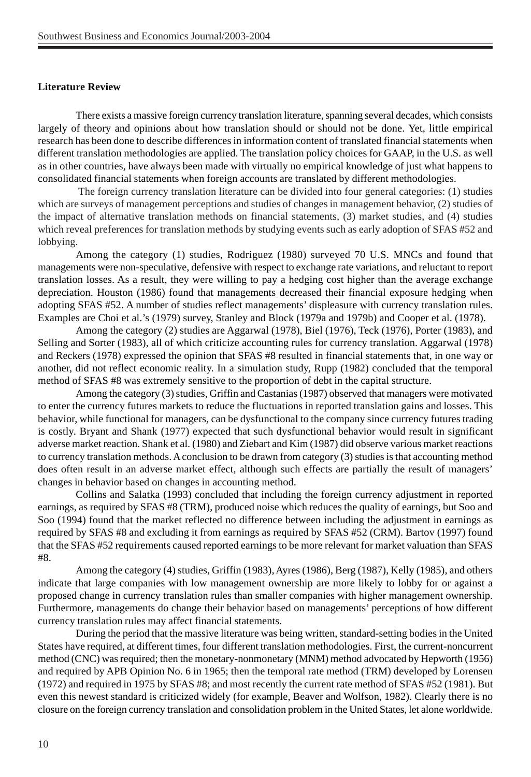### **Literature Review**

There exists a massive foreign currency translation literature, spanning several decades, which consists largely of theory and opinions about how translation should or should not be done. Yet, little empirical research has been done to describe differences in information content of translated financial statements when different translation methodologies are applied. The translation policy choices for GAAP, in the U.S. as well as in other countries, have always been made with virtually no empirical knowledge of just what happens to consolidated financial statements when foreign accounts are translated by different methodologies.

 The foreign currency translation literature can be divided into four general categories: (1) studies which are surveys of management perceptions and studies of changes in management behavior, (2) studies of the impact of alternative translation methods on financial statements, (3) market studies, and (4) studies which reveal preferences for translation methods by studying events such as early adoption of SFAS #52 and lobbying.

Among the category (1) studies, Rodriguez (1980) surveyed 70 U.S. MNCs and found that managements were non-speculative, defensive with respect to exchange rate variations, and reluctant to report translation losses. As a result, they were willing to pay a hedging cost higher than the average exchange depreciation. Houston (1986) found that managements decreased their financial exposure hedging when adopting SFAS #52. A number of studies reflect managements' displeasure with currency translation rules. Examples are Choi et al.'s (1979) survey, Stanley and Block (1979a and 1979b) and Cooper et al. (1978).

Among the category (2) studies are Aggarwal (1978), Biel (1976), Teck (1976), Porter (1983), and Selling and Sorter (1983), all of which criticize accounting rules for currency translation. Aggarwal (1978) and Reckers (1978) expressed the opinion that SFAS #8 resulted in financial statements that, in one way or another, did not reflect economic reality. In a simulation study, Rupp (1982) concluded that the temporal method of SFAS #8 was extremely sensitive to the proportion of debt in the capital structure.

Among the category (3) studies, Griffin and Castanias (1987) observed that managers were motivated to enter the currency futures markets to reduce the fluctuations in reported translation gains and losses. This behavior, while functional for managers, can be dysfunctional to the company since currency futures trading is costly. Bryant and Shank (1977) expected that such dysfunctional behavior would result in significant adverse market reaction. Shank et al. (1980) and Ziebart and Kim (1987) did observe various market reactions to currency translation methods. A conclusion to be drawn from category (3) studies is that accounting method does often result in an adverse market effect, although such effects are partially the result of managers' changes in behavior based on changes in accounting method.

Collins and Salatka (1993) concluded that including the foreign currency adjustment in reported earnings, as required by SFAS #8 (TRM), produced noise which reduces the quality of earnings, but Soo and Soo (1994) found that the market reflected no difference between including the adjustment in earnings as required by SFAS #8 and excluding it from earnings as required by SFAS #52 (CRM). Bartov (1997) found that the SFAS #52 requirements caused reported earnings to be more relevant for market valuation than SFAS #8.

Among the category (4) studies, Griffin (1983), Ayres (1986), Berg (1987), Kelly (1985), and others indicate that large companies with low management ownership are more likely to lobby for or against a proposed change in currency translation rules than smaller companies with higher management ownership. Furthermore, managements do change their behavior based on managements' perceptions of how different currency translation rules may affect financial statements.

During the period that the massive literature was being written, standard-setting bodies in the United States have required, at different times, four different translation methodologies. First, the current-noncurrent method (CNC) was required; then the monetary-nonmonetary (MNM) method advocated by Hepworth (1956) and required by APB Opinion No. 6 in 1965; then the temporal rate method (TRM) developed by Lorensen (1972) and required in 1975 by SFAS #8; and most recently the current rate method of SFAS #52 (1981). But even this newest standard is criticized widely (for example, Beaver and Wolfson, 1982). Clearly there is no closure on the foreign currency translation and consolidation problem in the United States, let alone worldwide.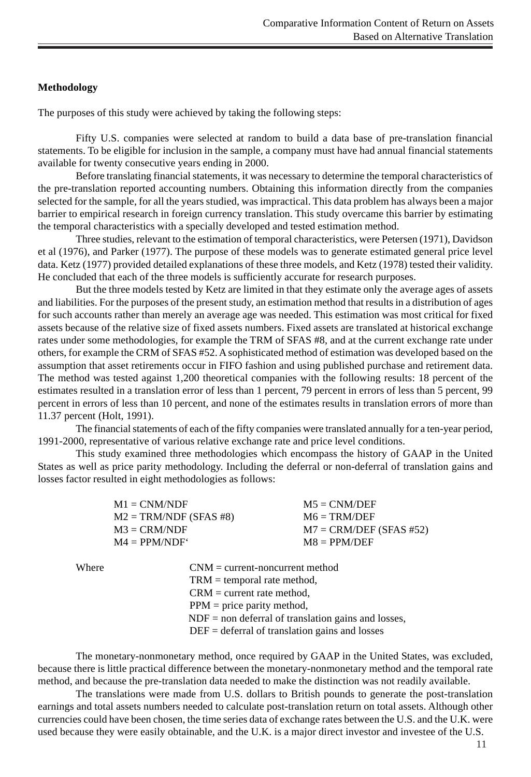# **Methodology**

The purposes of this study were achieved by taking the following steps:

Fifty U.S. companies were selected at random to build a data base of pre-translation financial statements. To be eligible for inclusion in the sample, a company must have had annual financial statements available for twenty consecutive years ending in 2000.

Before translating financial statements, it was necessary to determine the temporal characteristics of the pre-translation reported accounting numbers. Obtaining this information directly from the companies selected for the sample, for all the years studied, was impractical. This data problem has always been a major barrier to empirical research in foreign currency translation. This study overcame this barrier by estimating the temporal characteristics with a specially developed and tested estimation method.

Three studies, relevant to the estimation of temporal characteristics, were Petersen (1971), Davidson et al (1976), and Parker (1977). The purpose of these models was to generate estimated general price level data. Ketz (1977) provided detailed explanations of these three models, and Ketz (1978) tested their validity. He concluded that each of the three models is sufficiently accurate for research purposes.

But the three models tested by Ketz are limited in that they estimate only the average ages of assets and liabilities. For the purposes of the present study, an estimation method that results in a distribution of ages for such accounts rather than merely an average age was needed. This estimation was most critical for fixed assets because of the relative size of fixed assets numbers. Fixed assets are translated at historical exchange rates under some methodologies, for example the TRM of SFAS #8, and at the current exchange rate under others, for example the CRM of SFAS #52. A sophisticated method of estimation was developed based on the assumption that asset retirements occur in FIFO fashion and using published purchase and retirement data. The method was tested against 1,200 theoretical companies with the following results: 18 percent of the estimates resulted in a translation error of less than 1 percent, 79 percent in errors of less than 5 percent, 99 percent in errors of less than 10 percent, and none of the estimates results in translation errors of more than 11.37 percent (Holt, 1991).

The financial statements of each of the fifty companies were translated annually for a ten-year period, 1991-2000, representative of various relative exchange rate and price level conditions.

This study examined three methodologies which encompass the history of GAAP in the United States as well as price parity methodology. Including the deferral or non-deferral of translation gains and losses factor resulted in eight methodologies as follows:

| $M1 = CMM/NDF$           | $M5 = CMM/DEF$            |
|--------------------------|---------------------------|
| $M2 = TRM/NDF (SFAS #8)$ | $M6 = TRM/DEF$            |
| $M3 = CRM/NDF$           | $M7 = CRM/DEF$ (SFAS #52) |
| $M4 = PPM/NDF'$          | $MS = PPM/DEF$            |

Where CNM = current-noncurrent method TRM = temporal rate method,  $CRM = current rate method,$ 

PPM = price parity method,

 $NDF =$  non deferral of translation gains and losses,

DEF = deferral of translation gains and losses

The monetary-nonmonetary method, once required by GAAP in the United States, was excluded, because there is little practical difference between the monetary-nonmonetary method and the temporal rate method, and because the pre-translation data needed to make the distinction was not readily available.

The translations were made from U.S. dollars to British pounds to generate the post-translation earnings and total assets numbers needed to calculate post-translation return on total assets. Although other currencies could have been chosen, the time series data of exchange rates between the U.S. and the U.K. were used because they were easily obtainable, and the U.K. is a major direct investor and investee of the U.S.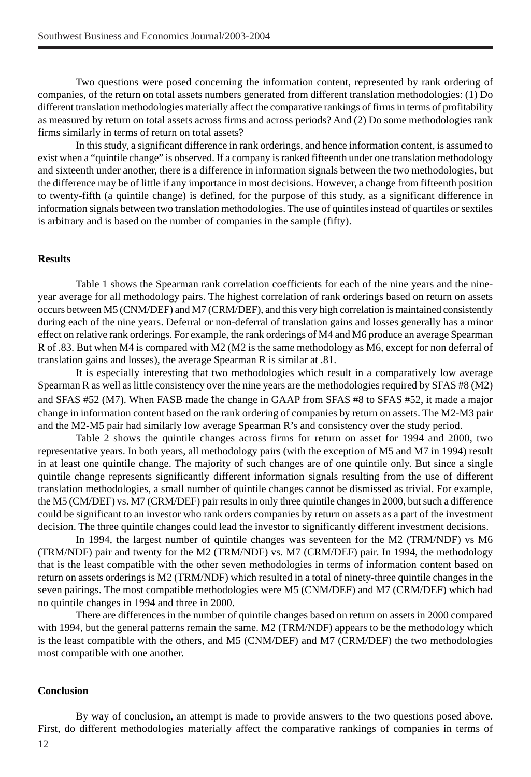Two questions were posed concerning the information content, represented by rank ordering of companies, of the return on total assets numbers generated from different translation methodologies: (1) Do different translation methodologies materially affect the comparative rankings of firms in terms of profitability as measured by return on total assets across firms and across periods? And (2) Do some methodologies rank firms similarly in terms of return on total assets?

In this study, a significant difference in rank orderings, and hence information content, is assumed to exist when a "quintile change" is observed. If a company is ranked fifteenth under one translation methodology and sixteenth under another, there is a difference in information signals between the two methodologies, but the difference may be of little if any importance in most decisions. However, a change from fifteenth position to twenty-fifth (a quintile change) is defined, for the purpose of this study, as a significant difference in information signals between two translation methodologies. The use of quintiles instead of quartiles or sextiles is arbitrary and is based on the number of companies in the sample (fifty).

### **Results**

Table 1 shows the Spearman rank correlation coefficients for each of the nine years and the nineyear average for all methodology pairs. The highest correlation of rank orderings based on return on assets occurs between M5 (CNM/DEF) and M7 (CRM/DEF), and this very high correlation is maintained consistently during each of the nine years. Deferral or non-deferral of translation gains and losses generally has a minor effect on relative rank orderings. For example, the rank orderings of M4 and M6 produce an average Spearman R of .83. But when M4 is compared with M2 (M2 is the same methodology as M6, except for non deferral of translation gains and losses), the average Spearman R is similar at .81.

It is especially interesting that two methodologies which result in a comparatively low average Spearman R as well as little consistency over the nine years are the methodologies required by SFAS #8 (M2) and SFAS #52 (M7). When FASB made the change in GAAP from SFAS #8 to SFAS #52, it made a major change in information content based on the rank ordering of companies by return on assets. The M2-M3 pair and the M2-M5 pair had similarly low average Spearman R's and consistency over the study period.

Table 2 shows the quintile changes across firms for return on asset for 1994 and 2000, two representative years. In both years, all methodology pairs (with the exception of M5 and M7 in 1994) result in at least one quintile change. The majority of such changes are of one quintile only. But since a single quintile change represents significantly different information signals resulting from the use of different translation methodologies, a small number of quintile changes cannot be dismissed as trivial. For example, the M5 (CM/DEF) vs. M7 (CRM/DEF) pair results in only three quintile changes in 2000, but such a difference could be significant to an investor who rank orders companies by return on assets as a part of the investment decision. The three quintile changes could lead the investor to significantly different investment decisions.

In 1994, the largest number of quintile changes was seventeen for the M2 (TRM/NDF) vs M6 (TRM/NDF) pair and twenty for the M2 (TRM/NDF) vs. M7 (CRM/DEF) pair. In 1994, the methodology that is the least compatible with the other seven methodologies in terms of information content based on return on assets orderings is M2 (TRM/NDF) which resulted in a total of ninety-three quintile changes in the seven pairings. The most compatible methodologies were M5 (CNM/DEF) and M7 (CRM/DEF) which had no quintile changes in 1994 and three in 2000.

There are differences in the number of quintile changes based on return on assets in 2000 compared with 1994, but the general patterns remain the same. M2 (TRM/NDF) appears to be the methodology which is the least compatible with the others, and M5 (CNM/DEF) and M7 (CRM/DEF) the two methodologies most compatible with one another.

### **Conclusion**

12 By way of conclusion, an attempt is made to provide answers to the two questions posed above. First, do different methodologies materially affect the comparative rankings of companies in terms of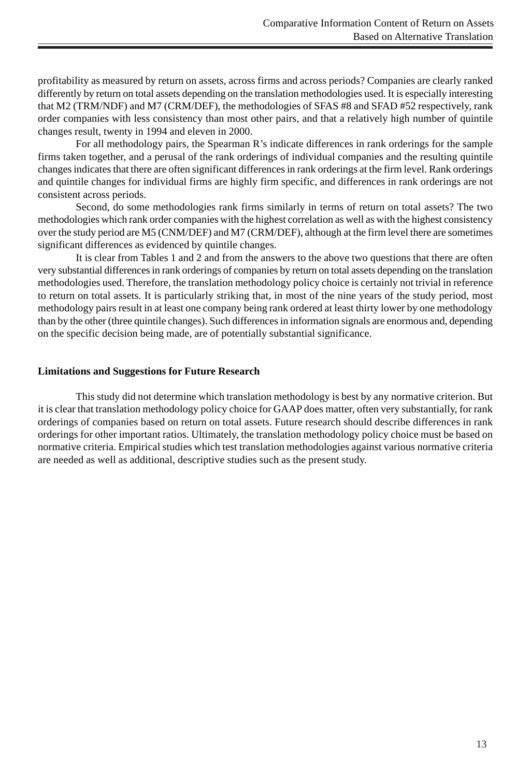profitability as measured by return on assets, across firms and across periods? Companies are clearly ranked differently by return on total assets depending on the translation methodologies used. It is especially interesting that M2 (TRM/NDF) and M7 (CRM/DEF), the methodologies of SFAS #8 and SFAD #52 respectively, rank order companies with less consistency than most other pairs, and that a relatively high number of quintile changes result, twenty in 1994 and eleven in 2000.

For all methodology pairs, the Spearman R's indicate differences in rank orderings for the sample firms taken together, and a perusal of the rank orderings of individual companies and the resulting quintile changes indicates that there are often significant differences in rank orderings at the firm level. Rank orderings and quintile changes for individual firms are highly firm specific, and differences in rank orderings are not consistent across periods.

Second, do some methodologies rank firms similarly in terms of return on total assets? The two methodologies which rank order companies with the highest correlation as well as with the highest consistency over the study period are M5 (CNM/DEF) and M7 (CRM/DEF), although at the firm level there are sometimes significant differences as evidenced by quintile changes.

It is clear from Tables 1 and 2 and from the answers to the above two questions that there are often very substantial differences in rank orderings of companies by return on total assets depending on the translation methodologies used. Therefore, the translation methodology policy choice is certainly not trivial in reference to return on total assets. It is particularly striking that, in most of the nine years of the study period, most methodology pairs result in at least one company being rank ordered at least thirty lower by one methodology than by the other (three quintile changes). Such differences in information signals are enormous and, depending on the specific decision being made, are of potentially substantial significance.

## **Limitations and Suggestions for Future Research**

This study did not determine which translation methodology is best by any normative criterion. But it is clear that translation methodology policy choice for GAAP does matter, often very substantially, for rank orderings of companies based on return on total assets. Future research should describe differences in rank orderings for other important ratios. Ultimately, the translation methodology policy choice must be based on normative criteria. Empirical studies which test translation methodologies against various normative criteria are needed as well as additional, descriptive studies such as the present study.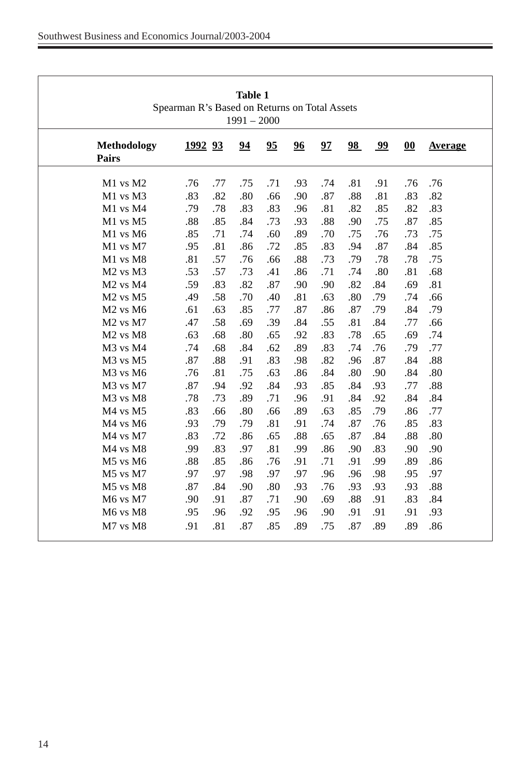| <b>Table 1</b><br>Spearman R's Based on Returns on Total Assets<br>$1991 - 2000$ |                |     |     |     |     |     |     |     |     |         |
|----------------------------------------------------------------------------------|----------------|-----|-----|-----|-----|-----|-----|-----|-----|---------|
| Methodology<br><b>Pairs</b>                                                      | <u>1992</u> 93 |     | 94  | 95  | 96  | 97  | 98  | 99  | 00  | Average |
| M1 vs M2                                                                         | .76            | .77 | .75 | .71 | .93 | .74 | .81 | .91 | .76 | .76     |
| M1 vs M3                                                                         | .83            | .82 | .80 | .66 | .90 | .87 | .88 | .81 | .83 | .82     |
| $M1$ vs $M4$                                                                     | .79            | .78 | .83 | .83 | .96 | .81 | .82 | .85 | .82 | .83     |
| M1 vs M5                                                                         | .88            | .85 | .84 | .73 | .93 | .88 | .90 | .75 | .87 | .85     |
| M1 vs M6                                                                         | .85            | .71 | .74 | .60 | .89 | .70 | .75 | .76 | .73 | .75     |
| M1 vs M7                                                                         | .95            | .81 | .86 | .72 | .85 | .83 | .94 | .87 | .84 | .85     |
| M1 vs M8                                                                         | .81            | .57 | .76 | .66 | .88 | .73 | .79 | .78 | .78 | .75     |
| $M2$ vs $M3$                                                                     | .53            | .57 | .73 | .41 | .86 | .71 | .74 | .80 | .81 | .68     |
| M <sub>2</sub> vs M <sub>4</sub>                                                 | .59            | .83 | .82 | .87 | .90 | .90 | .82 | .84 | .69 | .81     |
| M <sub>2</sub> vs M <sub>5</sub>                                                 | .49            | .58 | .70 | .40 | .81 | .63 | .80 | .79 | .74 | .66     |
| $M2$ vs $M6$                                                                     | .61            | .63 | .85 | .77 | .87 | .86 | .87 | .79 | .84 | .79     |
| M <sub>2</sub> vs M <sub>7</sub>                                                 | .47            | .58 | .69 | .39 | .84 | .55 | .81 | .84 | .77 | .66     |
| $M2$ vs $M8$                                                                     | .63            | .68 | .80 | .65 | .92 | .83 | .78 | .65 | .69 | .74     |
| M3 vs M4                                                                         | .74            | .68 | .84 | .62 | .89 | .83 | .74 | .76 | .79 | .77     |
| M3 vs M5                                                                         | .87            | .88 | .91 | .83 | .98 | .82 | .96 | .87 | .84 | .88     |
| M <sub>3</sub> vs M <sub>6</sub>                                                 | .76            | .81 | .75 | .63 | .86 | .84 | .80 | .90 | .84 | .80     |
| M3 vs M7                                                                         | .87            | .94 | .92 | .84 | .93 | .85 | .84 | .93 | .77 | .88     |
| M <sub>3</sub> vs M <sub>8</sub>                                                 | .78            | .73 | .89 | .71 | .96 | .91 | .84 | .92 | .84 | .84     |
| $M4$ vs $M5$                                                                     | .83            | .66 | .80 | .66 | .89 | .63 | .85 | .79 | .86 | .77     |
| M4 vs M6                                                                         | .93            | .79 | .79 | .81 | .91 | .74 | .87 | .76 | .85 | .83     |
| M <sub>4</sub> vs M <sub>7</sub>                                                 | .83            | .72 | .86 | .65 | .88 | .65 | .87 | .84 | .88 | .80     |
| M4 vs M8                                                                         | .99            | .83 | .97 | .81 | .99 | .86 | .90 | .83 | .90 | .90     |
| M5 vs M6                                                                         | .88            | .85 | .86 | .76 | .91 | .71 | .91 | .99 | .89 | .86     |
| $M5$ vs $M7$                                                                     | .97            | .97 | .98 | .97 | .97 | .96 | .96 | .98 | .95 | .97     |
| M5 vs M8                                                                         | .87            | .84 | .90 | .80 | .93 | .76 | .93 | .93 | .93 | .88     |
| M6 vs M7                                                                         | .90            | .91 | .87 | .71 | .90 | .69 | .88 | .91 | .83 | .84     |
| M <sub>6</sub> vs M <sub>8</sub>                                                 | .95            | .96 | .92 | .95 | .96 | .90 | .91 | .91 | .91 | .93     |
| M7 vs M8                                                                         | .91            | .81 | .87 | .85 | .89 | .75 | .87 | .89 | .89 | .86     |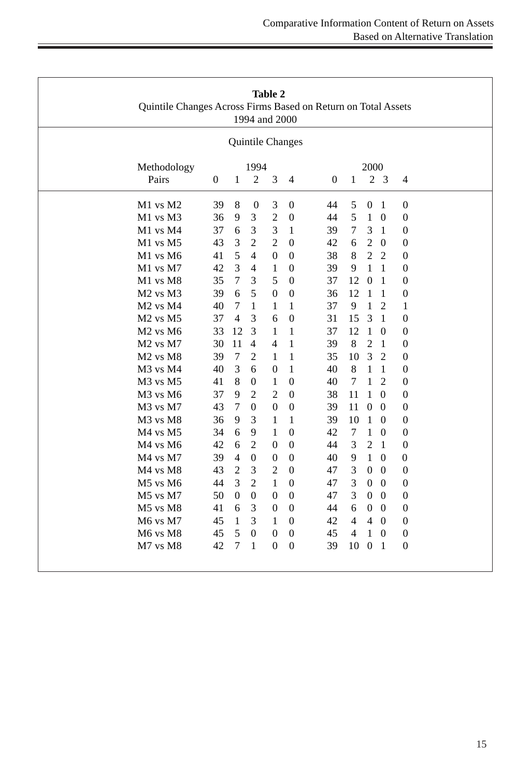| Table 2<br>Quintile Changes Across Firms Based on Return on Total Assets<br>1994 and 2000<br>Quintile Changes |          |                  |                  |                  |                  |                                                             |  |
|---------------------------------------------------------------------------------------------------------------|----------|------------------|------------------|------------------|------------------|-------------------------------------------------------------|--|
|                                                                                                               |          |                  |                  |                  |                  |                                                             |  |
| Pairs                                                                                                         | $\Omega$ | 1                | $\overline{2}$   | 3                | $\overline{4}$   | 2 <sub>3</sub><br>1<br>$\Omega$<br>4                        |  |
| $M1$ vs $M2$                                                                                                  | 39       | $\,8\,$          | $\boldsymbol{0}$ | 3                | $\boldsymbol{0}$ | 44<br>$\boldsymbol{0}$<br>$\boldsymbol{0}$<br>5<br>1        |  |
| M1 vs M3                                                                                                      | 36       | 9                | 3                | $\overline{2}$   | $\mathbf{0}$     | 5<br>1<br>$\mathbf{0}$<br>44<br>$\theta$                    |  |
| M1 vs M4                                                                                                      | 37       | 6                | 3                | 3                | 1                | 3<br>39<br>7<br>$\mathbf{1}$<br>$\boldsymbol{0}$            |  |
| M1 vs M5                                                                                                      | 43       | 3                | $\overline{2}$   | $\overline{2}$   | $\theta$         | $\overline{2}$<br>42<br>$\Omega$<br>$\mathbf{0}$<br>6       |  |
| $M1$ vs M6                                                                                                    | 41       | 5                | $\overline{4}$   | $\overline{0}$   | $\Omega$         | 38<br>8<br>2<br>2<br>$\overline{0}$                         |  |
| M1 vs M7                                                                                                      | 42       | 3                | $\overline{4}$   | 1                | $\theta$         | 39<br>9<br>1<br>1<br>$\boldsymbol{0}$                       |  |
| M1 vs M8                                                                                                      | 35       | $\tau$           | 3                | 5                | $\theta$         | 37<br>12<br>$\mathbf{0}$<br>$\boldsymbol{0}$<br>1           |  |
| M <sub>2</sub> vs M <sub>3</sub>                                                                              | 39       | 6                | 5                | $\overline{0}$   | $\mathbf{0}$     | 12<br>36<br>-1<br>$\theta$<br>-1                            |  |
| M <sub>2</sub> vs M <sub>4</sub>                                                                              | 40       | $\tau$           | $\mathbf{1}$     | 1                | 1                | 37<br>9<br>1<br>$\overline{2}$<br>1                         |  |
| M <sub>2</sub> vs M <sub>5</sub>                                                                              | 37       | 4                | 3                | 6                | $\Omega$         | 15<br>31<br>3<br>$\mathbf{0}$<br>1                          |  |
| $M2$ vs $M6$                                                                                                  | 33       | 12               | 3                | 1                | 1                | 37<br>12<br>1<br>$\Omega$<br>$\overline{0}$                 |  |
| M <sub>2</sub> vs M <sub>7</sub>                                                                              | 30       | 11               | $\overline{4}$   | $\overline{4}$   | 1                | 8<br>39<br>2<br>1<br>$\boldsymbol{0}$                       |  |
| M <sub>2</sub> vs M <sub>8</sub>                                                                              | 39       | $\overline{7}$   | $\overline{2}$   | 1                | 1                | 3<br>$\overline{2}$<br>35<br>10<br>$\boldsymbol{0}$         |  |
| M <sub>3</sub> vs M <sub>4</sub>                                                                              | 40       | 3                | 6                | $\theta$         | 1                | 8<br>$\mathbf{1}$<br>40<br>1<br>$\theta$                    |  |
| M3 vs M5                                                                                                      | 41       | 8                | $\boldsymbol{0}$ | $\mathbf{1}$     | $\boldsymbol{0}$ | 40<br>7<br>1<br>$\overline{2}$<br>$\boldsymbol{0}$          |  |
| M3 vs M6                                                                                                      | 37       | 9                | $\overline{2}$   | $\overline{2}$   | $\theta$         | 38<br>11<br>1<br>$\mathbf{0}$<br>$\Omega$                   |  |
| M3 vs M7                                                                                                      | 43       | $\tau$           | $\Omega$         | $\overline{0}$   | $\mathbf{0}$     | 39<br>11<br>$\Omega$<br>$\overline{0}$<br>$\theta$          |  |
| M3 vs M8                                                                                                      | 36       | 9                | 3                | 1                | 1                | 39<br>10<br>1<br>$\mathbf{0}$<br>$\boldsymbol{0}$           |  |
| M4 vs M5                                                                                                      | 34       | 6                | 9                | 1                | $\theta$         | 42<br>$\tau$<br>$\boldsymbol{0}$<br>1<br>$\theta$           |  |
| $M4$ vs $M6$                                                                                                  | 42       | 6                | 2                | $\theta$         | 0                | 44<br>3<br>2<br>-1<br>$\theta$                              |  |
| M4 vs M7                                                                                                      | 39       | $\overline{4}$   | $\theta$         | $\boldsymbol{0}$ | $\theta$         | 40<br>9<br>1<br>$\theta$<br>0                               |  |
| M4 vs M8                                                                                                      | 43       | $\overline{2}$   | 3                | $\overline{2}$   | $\Omega$         | 47<br>3<br>$\mathbf{0}$<br>$\overline{0}$<br>$\Omega$       |  |
| $M5$ vs $M6$                                                                                                  | 44       | 3                | $\overline{2}$   | 1                | $\Omega$         | 47<br>3<br>$\overline{0}$<br>$\Omega$<br>$\overline{0}$     |  |
| M5 vs M7                                                                                                      | 50       | $\boldsymbol{0}$ | $\mathbf{0}$     | $\theta$         | $\theta$         | 3<br>$\boldsymbol{0}$<br>$\Omega$<br>$\boldsymbol{0}$<br>47 |  |
| M5 vs M8                                                                                                      | 41       | 6                | 3                | $\theta$         | $\theta$         | $\boldsymbol{0}$<br>$\Omega$<br>$\boldsymbol{0}$<br>44<br>6 |  |
| M6 vs M7                                                                                                      | 45       | $\mathbf{1}$     | 3                | 1                | $\mathbf{0}$     | $\overline{4}$<br>42<br>4<br>$\Omega$<br>$\overline{0}$     |  |
| M6 vs M8                                                                                                      | 45       | 5                | $\boldsymbol{0}$ | $\boldsymbol{0}$ | $\boldsymbol{0}$ | $\mathbf{1}$<br>$\boldsymbol{0}$<br>45<br>4<br>$\mathbf{0}$ |  |
| M7 vs M8                                                                                                      | 42       | 7                | 1                | $\Omega$         | $\Omega$         | $\overline{0}$<br>39<br>10<br>$\overline{1}$<br>$\Omega$    |  |
|                                                                                                               |          |                  |                  |                  |                  |                                                             |  |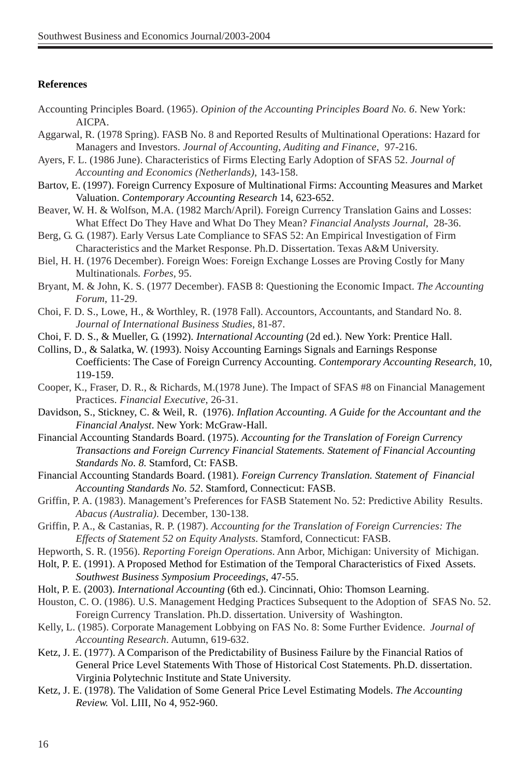## **References**

- Accounting Principles Board. (1965). *Opinion of the Accounting Principles Board No. 6*. New York: AICPA.
- Aggarwal, R. (1978 Spring). FASB No. 8 and Reported Results of Multinational Operations: Hazard for Managers and Investors. *Journal of Accounting, Auditing and Finance*, 97-216.
- Ayers, F. L. (1986 June). Characteristics of Firms Electing Early Adoption of SFAS 52. *Journal of Accounting and Economics (Netherlands)*, 143-158.
- Bartov, E. (1997). Foreign Currency Exposure of Multinational Firms: Accounting Measures and Market Valuation. *Contemporary Accounting Research* 14, 623-652.
- Beaver, W. H. & Wolfson, M.A. (1982 March/April). Foreign Currency Translation Gains and Losses: What Effect Do They Have and What Do They Mean? *Financial Analysts Journal*, 28-36.
- Berg, G. G. (1987). Early Versus Late Compliance to SFAS 52: An Empirical Investigation of Firm Characteristics and the Market Response. Ph.D. Dissertation. Texas A&M University.
- Biel, H. H. (1976 December). Foreign Woes: Foreign Exchange Losses are Proving Costly for Many Multinationals*. Forbes,* 95.
- Bryant, M. & John, K. S. (1977 December). FASB 8: Questioning the Economic Impact. *The Accounting Forum*, 11-29.
- Choi, F. D. S., Lowe, H., & Worthley, R. (1978 Fall). Accountors, Accountants, and Standard No. 8. *Journal of International Business Studies*, 81-87.
- Choi, F. D. S., & Mueller, G. (1992). *International Accounting* (2d ed.). New York: Prentice Hall.

Collins, D., & Salatka, W. (1993). Noisy Accounting Earnings Signals and Earnings Response Coefficients: The Case of Foreign Currency Accounting. *Contemporary Accounting Research,* 10, 119-159.

- Cooper, K., Fraser, D. R., & Richards, M.(1978 June). The Impact of SFAS #8 on Financial Management Practices. *Financial Executive*, 26-31.
- Davidson, S., Stickney, C. & Weil, R. (1976). *Inflation Accounting. A Guide for the Accountant and the Financial Analyst*. New York: McGraw-Hall.
- Financial Accounting Standards Board. (1975). *Accounting for the Translation of Foreign Currency Transactions and Foreign Currency Financial Statements. Statement of Financial Accounting Standards No. 8.* Stamford, Ct: FASB.
- Financial Accounting Standards Board. (1981). *Foreign Currency Translation. Statement of Financial Accounting Standards No. 52*. Stamford, Connecticut: FASB.
- Griffin, P. A. (1983). Management's Preferences for FASB Statement No. 52: Predictive Ability Results. *Abacus (Australia).* December, 130-138.
- Griffin, P. A., & Castanias, R. P. (1987). *Accounting for the Translation of Foreign Currencies: The Effects of Statement 52 on Equity Analysts*. Stamford, Connecticut: FASB.
- Hepworth, S. R. (1956). *Reporting Foreign Operations*. Ann Arbor, Michigan: University of Michigan.
- Holt, P. E. (1991). A Proposed Method for Estimation of the Temporal Characteristics of Fixed Assets. *Southwest Business Symposium Proceedings*, 47-55.
- Holt, P. E. (2003). *International Accounting* (6th ed.). Cincinnati, Ohio: Thomson Learning.
- Houston, C. O. (1986). U.S. Management Hedging Practices Subsequent to the Adoption of SFAS No. 52. Foreign Currency Translation. Ph.D. dissertation. University of Washington.
- Kelly, L. (1985). Corporate Management Lobbying on FAS No. 8: Some Further Evidence. *Journal of Accounting Research*. Autumn, 619-632.
- Ketz, J. E. (1977). A Comparison of the Predictability of Business Failure by the Financial Ratios of General Price Level Statements With Those of Historical Cost Statements. Ph.D. dissertation. Virginia Polytechnic Institute and State University.
- Ketz, J. E. (1978). The Validation of Some General Price Level Estimating Models. *The Accounting Review.* Vol. LIII, No 4, 952-960.